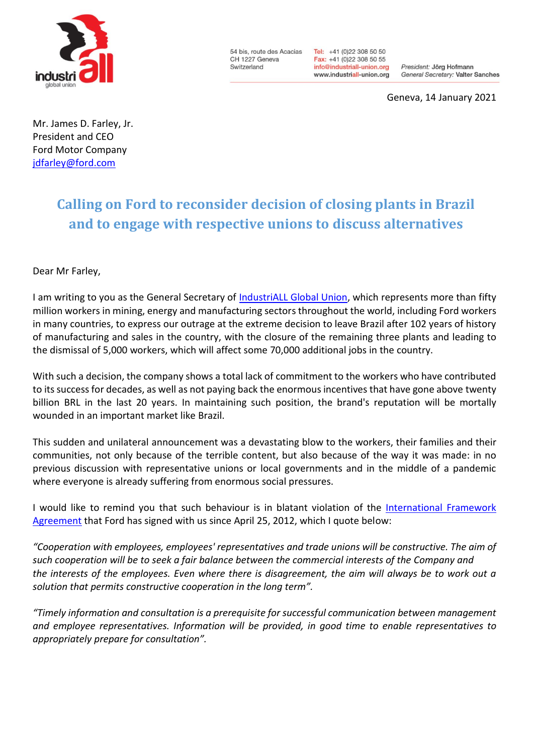

54 bis, route des Acacias CH 1227 Geneva Switzerland

Tel: +41 (0)22 308 50 50 Fax: +41 (0)22 308 50 55 info@industriall-union.org www.industriall-union.org

President: Jörg Hofmann General Secretary: Valter Sanches

Geneva, 14 January 2021

Mr. James D. Farley, Jr. President and CEO Ford Motor Company [jdfarley@ford.com](mailto:jdfarley@ford.com)

## **Calling on Ford to reconsider decision of closing plants in Brazil and to engage with respective unions to discuss alternatives**

## Dear Mr Farley,

I am writing to you as the General Secretary of **IndustriALL Global Union**, which represents more than fifty million workers in mining, energy and manufacturing sectors throughout the world, including Ford workers in many countries, to express our outrage at the extreme decision to leave Brazil after 102 years of history of manufacturing and sales in the country, with the closure of the remaining three plants and leading to the dismissal of 5,000 workers, which will affect some 70,000 additional jobs in the country.

With such a decision, the company shows a total lack of commitment to the workers who have contributed to its success for decades, as well as not paying back the enormous incentives that have gone above twenty billion BRL in the last 20 years. In maintaining such position, the brand's reputation will be mortally wounded in an important market like Brazil.

This sudden and unilateral announcement was a devastating blow to the workers, their families and their communities, not only because of the terrible content, but also because of the way it was made: in no previous discussion with representative unions or local governments and in the middle of a pandemic where everyone is already suffering from enormous social pressures.

I would like to remind you that such behaviour is in blatant violation of the [International Framework](http://www.industriall-union.org/sites/default/files/uploads/documents/GFAs/Ford/gfa_ford.pdf)  [Agreement](http://www.industriall-union.org/sites/default/files/uploads/documents/GFAs/Ford/gfa_ford.pdf) that Ford has signed with us since April 25, 2012, which I quote below:

*"Cooperation with employees, employees' reprеsentаtivеs and trade unions will be constructive. The aim of such cooperation will be to seek а fair balance between the commercial interests of the Company and the interests of the employees. Even where there is disagreement, the aim will always be to work out а solution that permits constructive cooperation in the long term".* 

*"Timely information and consultation is а prerequisite for successful communication between management and employee representatives. Information will be provided, in good time to enable represеntаtivеs to appropriately рrераrе for consultation".*